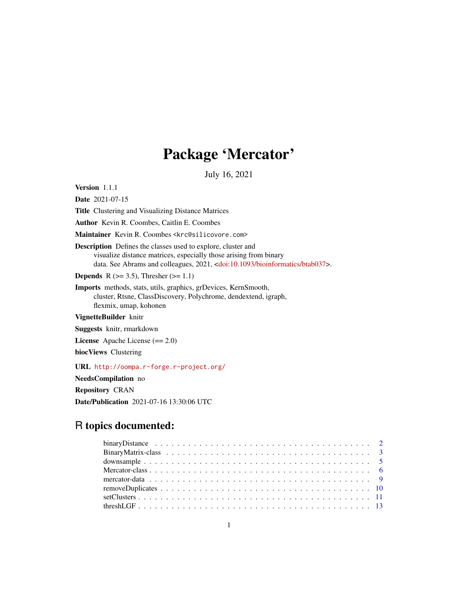# Package 'Mercator'

July 16, 2021

<span id="page-0-0"></span>Version 1.1.1

Date 2021-07-15 Title Clustering and Visualizing Distance Matrices Author Kevin R. Coombes, Caitlin E. Coombes Maintainer Kevin R. Coombes <krc@silicovore.com> Description Defines the classes used to explore, cluster and visualize distance matrices, especially those arising from binary data. See Abrams and colleagues, 2021, [<doi:10.1093/bioinformatics/btab037>](https://doi.org/10.1093/bioinformatics/btab037). **Depends** R ( $>= 3.5$ ), Thresher ( $>= 1.1$ ) Imports methods, stats, utils, graphics, grDevices, KernSmooth, cluster, Rtsne, ClassDiscovery, Polychrome, dendextend, igraph, flexmix, umap, kohonen VignetteBuilder knitr Suggests knitr, rmarkdown License Apache License (== 2.0)

biocViews Clustering

URL <http://oompa.r-forge.r-project.org/>

NeedsCompilation no

Repository CRAN

Date/Publication 2021-07-16 13:30:06 UTC

# R topics documented: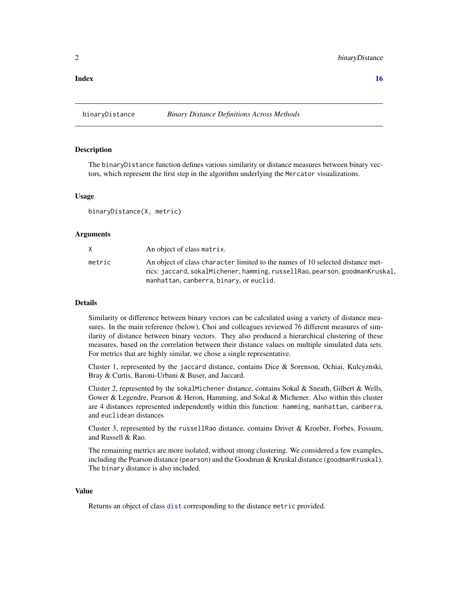# <span id="page-1-0"></span>**Index** the contract of the contract of the contract of the contract of the contract of the contract of the contract of the contract of the contract of the contract of the contract of the contract of the contract of the co

<span id="page-1-1"></span>

#### Description

The binaryDistance function defines various similarity or distance measures between binary vectors, which represent the first step in the algorithm underlying the Mercator visualizations.

#### Usage

binaryDistance(X, metric)

# Arguments

|        | An object of class matrix.                                                                                                                                                                               |
|--------|----------------------------------------------------------------------------------------------------------------------------------------------------------------------------------------------------------|
| metric | An object of class character limited to the names of 10 selected distance met-<br>rics: jaccard, sokalMichener, hamming, russellRao, pearson, goodmanKruskal,<br>manhattan, canberra, binary, or euclid. |
|        |                                                                                                                                                                                                          |

# Details

Similarity or difference between binary vectors can be calculated using a variety of distance measures. In the main reference (below), Choi and colleagues reviewed 76 different measures of similarity of distance between binary vectors. They also produced a hierarchical clustering of these measures, based on the correlation between their distance values on multiple simulated data sets. For metrics that are highly similar, we chose a single representative.

Cluster 1, represented by the jaccard distance, contains Dice & Sorenson, Ochiai, Kulcyznski, Bray & Curtis, Baroni-Urbani & Buser, and Jaccard.

Cluster 2, represented by the sokalMichener distance, contains Sokal & Sneath, Gilbert & Wells, Gower & Legendre, Pearson & Heron, Hamming, and Sokal & Michener. Also within this cluster are 4 distances represented independently within this function: hamming, manhattan, canberra, and euclidean distances

Cluster 3, represented by the russellRao distance, contains Driver & Kroeber, Forbes, Fossum, and Russell & Rao.

The remaining metrics are more isolated, without strong clustering. We considered a few examples, including the Pearson distance (pearson) and the Goodman & Kruskal distance (goodmanKruskal). The binary distance is also included.

#### Value

Returns an object of class [dist](#page-0-0) corresponding to the distance metric provided.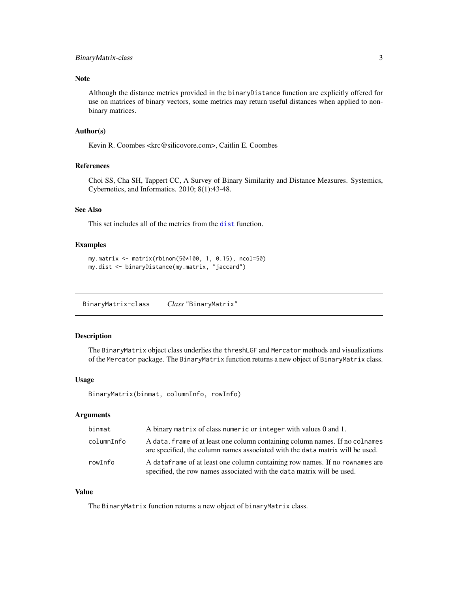# <span id="page-2-0"></span>BinaryMatrix-class 3

## Note

Although the distance metrics provided in the binaryDistance function are explicitly offered for use on matrices of binary vectors, some metrics may return useful distances when applied to nonbinary matrices.

# Author(s)

Kevin R. Coombes <krc@silicovore.com>, Caitlin E. Coombes

# References

Choi SS, Cha SH, Tappert CC, A Survey of Binary Similarity and Distance Measures. Systemics, Cybernetics, and Informatics. 2010; 8(1):43-48.

# See Also

This set includes all of the metrics from the [dist](#page-0-0) function.

#### Examples

```
my.matrix <- matrix(rbinom(50*100, 1, 0.15), ncol=50)
my.dist <- binaryDistance(my.matrix, "jaccard")
```
BinaryMatrix-class *Class* "BinaryMatrix"

#### <span id="page-2-1"></span>Description

The BinaryMatrix object class underlies the threshLGF and Mercator methods and visualizations of the Mercator package. The BinaryMatrix function returns a new object of BinaryMatrix class.

#### Usage

BinaryMatrix(binmat, columnInfo, rowInfo)

# Arguments

| binmat     | A binary matrix of class numeric or integer with values 0 and 1.                                                                                              |
|------------|---------------------------------------------------------------------------------------------------------------------------------------------------------------|
| columnInfo | A data. frame of at least one column containing column names. If no colnames<br>are specified, the column names associated with the data matrix will be used. |
| rowInfo    | A data frame of at least one column containing row names. If no rownames are<br>specified, the row names associated with the data matrix will be used.        |

# Value

The BinaryMatrix function returns a new object of binaryMatrix class.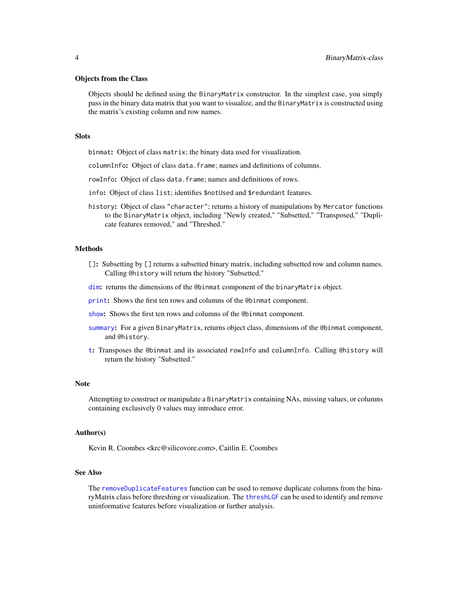#### <span id="page-3-0"></span>Objects from the Class

Objects should be defined using the BinaryMatrix constructor. In the simplest case, you simply pass in the binary data matrix that you want to visualize, and the BinaryMatrix is constructed using the matrix's existing column and row names.

#### Slots

binmat: Object of class matrix; the binary data used for visualization.

columnInfo: Object of class data.frame; names and definitions of columns.

- rowInfo: Object of class data.frame; names and definitions of rows.
- info: Object of class list; identifies \$notUsed and \$redundant features.
- history: Object of class "character"; returns a history of manipulations by Mercator functions to the BinaryMatrix object, including "Newly created," "Subsetted," "Transposed," "Duplicate features removed," and "Threshed."

#### Methods

- []: Subsetting by [] returns a subsetted binary matrix, including subsetted row and column names. Calling @history will return the history "Subsetted."
- [dim](#page-0-0): returns the dimensions of the @binmat component of the binaryMatrix object.
- [print](#page-0-0): Shows the first ten rows and columns of the @binmat component.
- [show](#page-0-0): Shows the first ten rows and columns of the @binmat component.
- [summary](#page-0-0): For a given BinaryMatrix, returns object class, dimensions of the @binmat component, and @history.
- [t](#page-0-0): Transposes the @binmat and its associated rowInfo and columnInfo. Calling @history will return the history "Subsetted."

#### Note

Attempting to construct or manipulate a BinaryMatrix containing NAs, missing values, or columns containing exclusively 0 values may introduce error.

#### Author(s)

Kevin R. Coombes <krc@silicovore.com>, Caitlin E. Coombes

# See Also

The [removeDuplicateFeatures](#page-9-1) function can be used to remove duplicate columns from the binaryMatrix class before threshing or visualization. The [threshLGF](#page-12-1) can be used to identify and remove uninformative features before visualization or further analysis.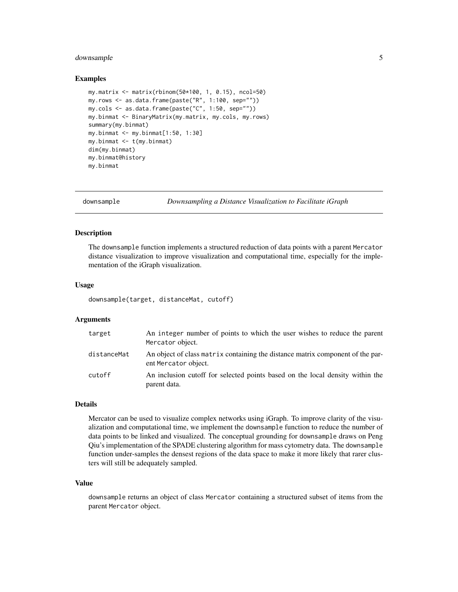# <span id="page-4-0"></span>downsample 5

#### Examples

```
my.matrix <- matrix(rbinom(50*100, 1, 0.15), ncol=50)
my.rows \leq as.data.frame(paste("R", 1:100, sep=""))
my.cols \leq as.data frame(paste("C", 1:50, sep=""))my.binmat <- BinaryMatrix(my.matrix, my.cols, my.rows)
summary(my.binmat)
my.binmat <- my.binmat[1:50, 1:30]
my.binmat <- t(my.binmat)
dim(my.binmat)
my.binmat@history
my.binmat
```
<span id="page-4-1"></span>downsample *Downsampling a Distance Visualization to Facilitate iGraph*

# Description

The downsample function implements a structured reduction of data points with a parent Mercator distance visualization to improve visualization and computational time, especially for the implementation of the iGraph visualization.

#### Usage

downsample(target, distanceMat, cutoff)

#### Arguments

| target      | An integer number of points to which the user wishes to reduce the parent<br>Mercator object.          |
|-------------|--------------------------------------------------------------------------------------------------------|
| distanceMat | An object of class matrix containing the distance matrix component of the par-<br>ent Mercator object. |
| cutoff      | An inclusion cutoff for selected points based on the local density within the<br>parent data.          |

## Details

Mercator can be used to visualize complex networks using iGraph. To improve clarity of the visualization and computational time, we implement the downsample function to reduce the number of data points to be linked and visualized. The conceptual grounding for downsample draws on Peng Qiu's implementation of the SPADE clustering algorithm for mass cytometry data. The downsample function under-samples the densest regions of the data space to make it more likely that rarer clusters will still be adequately sampled.

#### Value

downsample returns an object of class Mercator containing a structured subset of items from the parent Mercator object.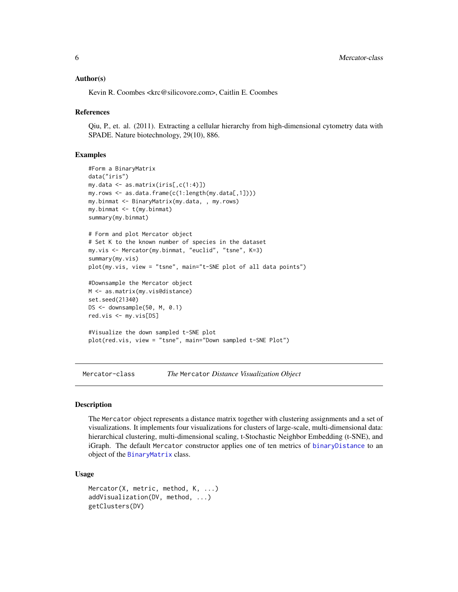#### <span id="page-5-0"></span>Author(s)

Kevin R. Coombes <krc@silicovore.com>, Caitlin E. Coombes

#### References

Qiu, P., et. al. (2011). Extracting a cellular hierarchy from high-dimensional cytometry data with SPADE. Nature biotechnology, 29(10), 886.

#### Examples

```
#Form a BinaryMatrix
data("iris")
my.data <- as.matrix(iris[,c(1:4)])
my.rows <- as.data.frame(c(1:length(my.data[,1])))
my.binmat <- BinaryMatrix(my.data, , my.rows)
my.binmat <- t(my.binmat)
summary(my.binmat)
# Form and plot Mercator object
# Set K to the known number of species in the dataset
my.vis <- Mercator(my.binmat, "euclid", "tsne", K=3)
summary(my.vis)
plot(my.vis, view = "tsne", main="t-SNE plot of all data points")
#Downsample the Mercator object
M <- as.matrix(my.vis@distance)
set.seed(21340)
DS <- downsample(50, M, 0.1)
red.vis <- my.vis[DS]
#Visualize the down sampled t-SNE plot
plot(red.vis, view = "tsne", main="Down sampled t-SNE Plot")
```
Mercator-class *The* Mercator *Distance Visualization Object*

#### Description

The Mercator object represents a distance matrix together with clustering assignments and a set of visualizations. It implements four visualizations for clusters of large-scale, multi-dimensional data: hierarchical clustering, multi-dimensional scaling, t-Stochastic Neighbor Embedding (t-SNE), and iGraph. The default Mercator constructor applies one of ten metrics of [binaryDistance](#page-1-1) to an object of the [BinaryMatrix](#page-2-1) class.

#### Usage

```
Mercator(X, metric, method, K, ...)
addVisualization(DV, method, ...)
getClusters(DV)
```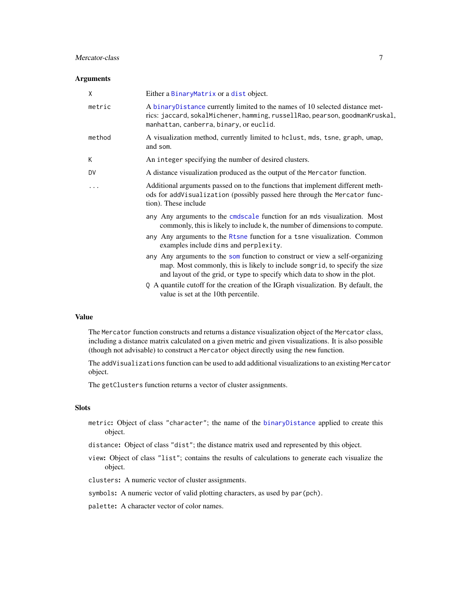# <span id="page-6-0"></span>Mercator-class 7

### Arguments

| X      | Either a BinaryMatrix or a dist object.                                                                                                                                                                                                  |
|--------|------------------------------------------------------------------------------------------------------------------------------------------------------------------------------------------------------------------------------------------|
| metric | A binaryDistance currently limited to the names of 10 selected distance met-<br>rics: jaccard, sokalMichener, hamming, russellRao, pearson, goodmanKruskal,<br>manhattan, canberra, binary, or euclid.                                   |
| method | A visualization method, currently limited to hclust, mds, tsne, graph, umap,<br>and som.                                                                                                                                                 |
| K      | An integer specifying the number of desired clusters.                                                                                                                                                                                    |
| DV     | A distance visualization produced as the output of the Mercator function.                                                                                                                                                                |
| .      | Additional arguments passed on to the functions that implement different meth-<br>ods for addVisualization (possibly passed here through the Mercator func-<br>tion). These include                                                      |
|        | any Any arguments to the cmdscale function for an mds visualization. Most<br>commonly, this is likely to include k, the number of dimensions to compute.                                                                                 |
|        | any Any arguments to the Rtsne function for a tsne visualization. Common<br>examples include dims and perplexity.                                                                                                                        |
|        | any Any arguments to the som function to construct or view a self-organizing<br>map. Most commonly, this is likely to include somgrid, to specify the size<br>and layout of the grid, or type to specify which data to show in the plot. |
|        | Q A quantile cutoff for the creation of the IGraph visualization. By default, the<br>value is set at the 10th percentile.                                                                                                                |
|        |                                                                                                                                                                                                                                          |

# Value

The Mercator function constructs and returns a distance visualization object of the Mercator class, including a distance matrix calculated on a given metric and given visualizations. It is also possible (though not advisable) to construct a Mercator object directly using the new function.

The addVisualizations function can be used to add additional visualizations to an existing Mercator object.

The getClusters function returns a vector of cluster assignments.

# Slots

- metric: Object of class "character"; the name of the [binaryDistance](#page-1-1) applied to create this object.
- distance: Object of class "dist"; the distance matrix used and represented by this object.
- view: Object of class "list"; contains the results of calculations to generate each visualize the object.

clusters: A numeric vector of cluster assignments.

symbols: A numeric vector of valid plotting characters, as used by par(pch).

palette: A character vector of color names.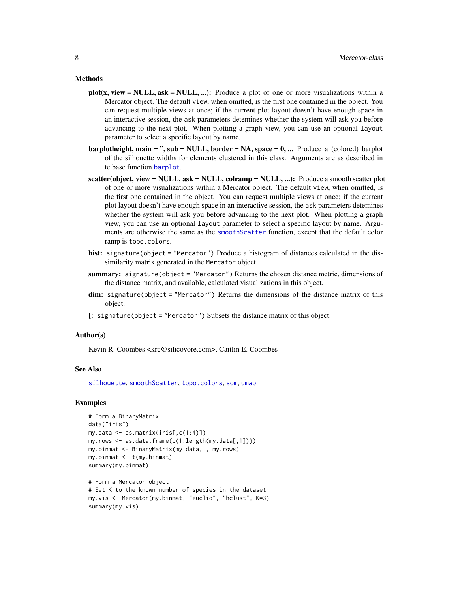#### <span id="page-7-0"></span>Methods

- $plot(x, view = NULL, ask = NULL, ...)$ : Produce a plot of one or more visualizations within a Mercator object. The default view, when omitted, is the first one contained in the object. You can request multiple views at once; if the current plot layout doesn't have enough space in an interactive session, the ask parameters detemines whether the system will ask you before advancing to the next plot. When plotting a graph view, you can use an optional layout parameter to select a specific layout by name.
- barplotheight, main = ", sub = NULL, border =  $NA$ , space =  $0$ , ... Produce a (colored) barplot of the silhouette widths for elements clustered in this class. Arguments are as described in te base function [barplot](#page-0-0).
- scatter(object, view = NULL, ask = NULL, colramp = NULL, ...): Produce a smooth scatter plot of one or more visualizations within a Mercator object. The default view, when omitted, is the first one contained in the object. You can request multiple views at once; if the current plot layout doesn't have enough space in an interactive session, the ask parameters detemines whether the system will ask you before advancing to the next plot. When plotting a graph view, you can use an optional layout parameter to select a specific layout by name. Arguments are otherwise the same as the [smoothScatter](#page-0-0) function, execpt that the default color ramp is topo.colors.
- hist: signature(object = "Mercator") Produce a histogram of distances calculated in the dissimilarity matrix generated in the Mercator object.
- summary: signature(object = "Mercator") Returns the chosen distance metric, dimensions of the distance matrix, and available, calculated visualizations in this object.
- dim: signature(object = "Mercator") Returns the dimensions of the distance matrix of this object.
- [: signature(object = "Mercator") Subsets the distance matrix of this object.

#### Author(s)

Kevin R. Coombes <krc@silicovore.com>, Caitlin E. Coombes

# See Also

[silhouette](#page-0-0), [smoothScatter](#page-0-0), [topo.colors](#page-0-0), [som](#page-0-0), [umap](#page-0-0).

### Examples

```
# Form a BinaryMatrix
data("iris")
my.data <- as.matrix(iris[,c(1:4)])
my.rows <- as.data.frame(c(1:length(my.data[,1])))
my.binmat <- BinaryMatrix(my.data, , my.rows)
my.binmat <- t(my.binmat)
summary(my.binmat)
# Form a Mercator object
# Set K to the known number of species in the dataset
my.vis <- Mercator(my.binmat, "euclid", "hclust", K=3)
```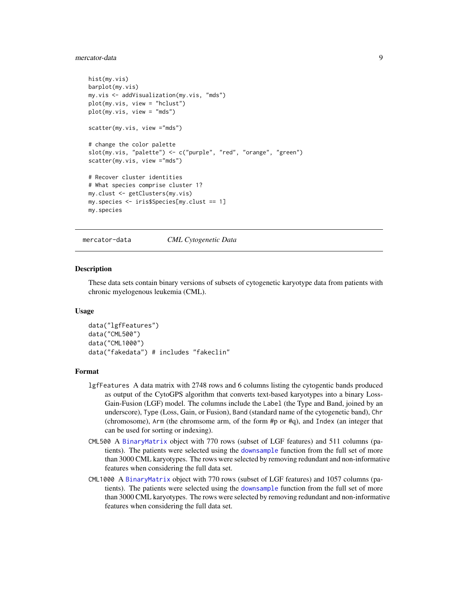# <span id="page-8-0"></span>mercator-data 9

```
hist(my.vis)
barplot(my.vis)
my.vis <- addVisualization(my.vis, "mds")
plot(my.vis, view = "hclust")
plot(my.vis, view = "mds")
scatter(my.vis, view ="mds")
# change the color palette
slot(my.vis, "palette") <- c("purple", "red", "orange", "green")
scatter(my.vis, view ="mds")
# Recover cluster identities
# What species comprise cluster 1?
my.clust <- getClusters(my.vis)
my.species <- iris$Species[my.clust == 1]
my.species
```
mercator-data *CML Cytogenetic Data*

#### Description

These data sets contain binary versions of subsets of cytogenetic karyotype data from patients with chronic myelogenous leukemia (CML).

#### Usage

```
data("lgfFeatures")
data("CML500")
data("CML1000")
data("fakedata") # includes "fakeclin"
```
#### Format

- lgfFeatures A data matrix with 2748 rows and 6 columns listing the cytogentic bands produced as output of the CytoGPS algorithm that converts text-based karyotypes into a binary Loss-Gain-Fusion (LGF) model. The columns include the Label (the Type and Band, joined by an underscore), Type (Loss, Gain, or Fusion), Band (standard name of the cytogenetic band), Chr (chromosome), Arm (the chromsome arm, of the form #p or #q), and Index (an integer that can be used for sorting or indexing).
- CML500 A [BinaryMatrix](#page-2-1) object with 770 rows (subset of LGF features) and 511 columns (patients). The patients were selected using the [downsample](#page-4-1) function from the full set of more than 3000 CML karyotypes. The rows were selected by removing redundant and non-informative features when considering the full data set.
- CML1000 A [BinaryMatrix](#page-2-1) object with 770 rows (subset of LGF features) and 1057 columns (patients). The patients were selected using the [downsample](#page-4-1) function from the full set of more than 3000 CML karyotypes. The rows were selected by removing redundant and non-informative features when considering the full data set.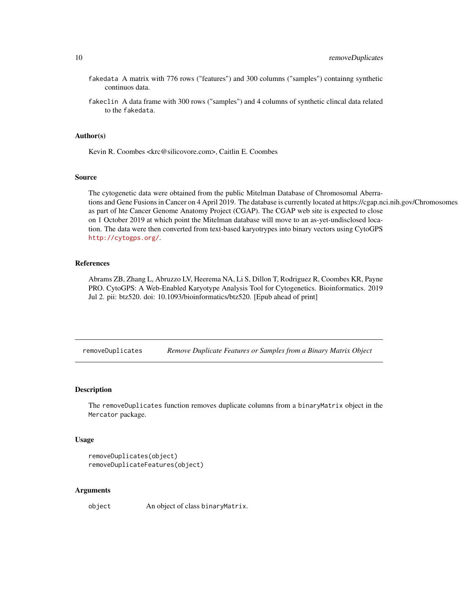- <span id="page-9-0"></span>fakedata A matrix with 776 rows ("features") and 300 columns ("samples") containng synthetic continuos data.
- fakeclin A data frame with 300 rows ("samples") and 4 columns of synthetic clincal data related to the fakedata.

#### Author(s)

Kevin R. Coombes <krc@silicovore.com>, Caitlin E. Coombes

## Source

The cytogenetic data were obtained from the public Mitelman Database of Chromosomal Aberrations and Gene Fusions in Cancer on 4 April 2019. The database is currently located at https://cgap.nci.nih.gov/Chromosomes as part of hte Cancer Genome Anatomy Project (CGAP). The CGAP web site is expected to close on 1 October 2019 at which point the Mitelman database will move to an as-yet-undisclosed location. The data were then converted from text-based karyotrypes into binary vectors using CytoGPS <http://cytogps.org/>.

# References

Abrams ZB, Zhang L, Abruzzo LV, Heerema NA, Li S, Dillon T, Rodriguez R, Coombes KR, Payne PRO. CytoGPS: A Web-Enabled Karyotype Analysis Tool for Cytogenetics. Bioinformatics. 2019 Jul 2. pii: btz520. doi: 10.1093/bioinformatics/btz520. [Epub ahead of print]

removeDuplicates *Remove Duplicate Features or Samples from a Binary Matrix Object*

#### <span id="page-9-1"></span>Description

The removeDuplicates function removes duplicate columns from a binaryMatrix object in the Mercator package.

#### Usage

```
removeDuplicates(object)
removeDuplicateFeatures(object)
```
#### Arguments

object An object of class binaryMatrix.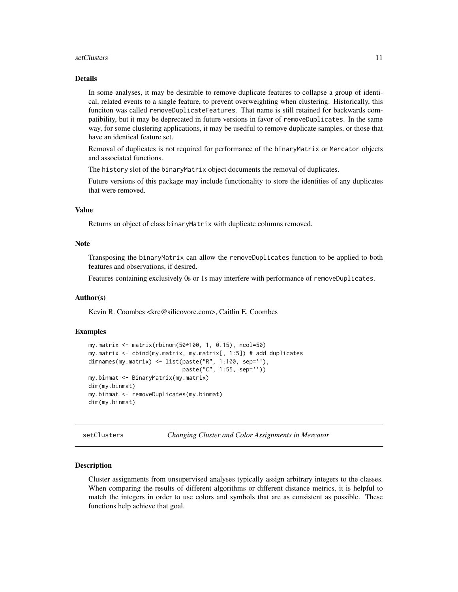#### <span id="page-10-0"></span>setClusters 11

# Details

In some analyses, it may be desirable to remove duplicate features to collapse a group of identical, related events to a single feature, to prevent overweighting when clustering. Historically, this funciton was called removeDuplicateFeatures. That name is still retained for backwards compatibility, but it may be deprecated in future versions in favor of removeDuplicates. In the same way, for some clustering applications, it may be usedful to remove duplicate samples, or those that have an identical feature set.

Removal of duplicates is not required for performance of the binaryMatrix or Mercator objects and associated functions.

The history slot of the binaryMatrix object documents the removal of duplicates.

Future versions of this package may include functionality to store the identities of any duplicates that were removed.

# Value

Returns an object of class binaryMatrix with duplicate columns removed.

# Note

Transposing the binaryMatrix can allow the removeDuplicates function to be applied to both features and observations, if desired.

Features containing exclusively 0s or 1s may interfere with performance of removeDuplicates.

#### Author(s)

Kevin R. Coombes <krc@silicovore.com>, Caitlin E. Coombes

#### Examples

```
my.matrix <- matrix(rbinom(50*100, 1, 0.15), ncol=50)
my.matrix <- cbind(my.matrix, my.matrix[, 1:5]) # add duplicates
dimnames(my.matrix) <- list(paste("R", 1:100, sep=''),
                            paste("C", 1:55, sep=''))
my.binmat <- BinaryMatrix(my.matrix)
dim(my.binmat)
my.binmat <- removeDuplicates(my.binmat)
dim(my.binmat)
```
setClusters *Changing Cluster and Color Assignments in Mercator*

#### Description

Cluster assignments from unsupervised analyses typically assign arbitrary integers to the classes. When comparing the results of different algorithms or different distance metrics, it is helpful to match the integers in order to use colors and symbols that are as consistent as possible. These functions help achieve that goal.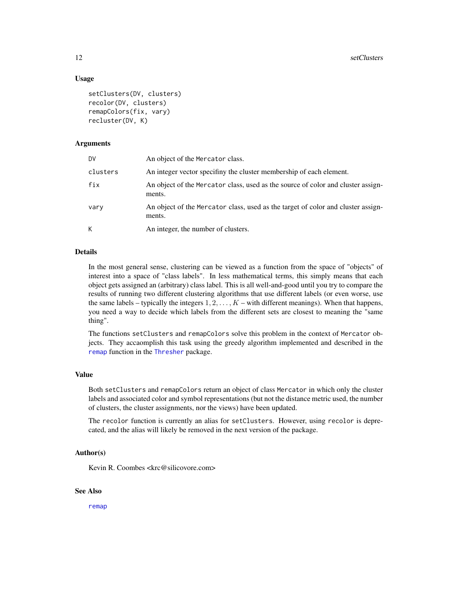## Usage

```
setClusters(DV, clusters)
recolor(DV, clusters)
remapColors(fix, vary)
recluster(DV, K)
```
# Arguments

| DV       | An object of the Mercator class.                                                           |
|----------|--------------------------------------------------------------------------------------------|
| clusters | An integer vector specifiny the cluster membership of each element.                        |
| fix      | An object of the Mercator class, used as the source of color and cluster assign-<br>ments. |
| vary     | An object of the Mercator class, used as the target of color and cluster assign-<br>ments. |
| K        | An integer, the number of clusters.                                                        |

#### Details

In the most general sense, clustering can be viewed as a function from the space of "objects" of interest into a space of "class labels". In less mathematical terms, this simply means that each object gets assigned an (arbitrary) class label. This is all well-and-good until you try to compare the results of running two different clustering algorithms that use different labels (or even worse, use the same labels – typically the integers  $1, 2, \ldots, K$  – with different meanings). When that happens, you need a way to decide which labels from the different sets are closest to meaning the "same thing".

The functions setClusters and remapColors solve this problem in the context of Mercator objects. They accaomplish this task using the greedy algorithm implemented and described in the [remap](#page-0-0) function in the [Thresher](#page-0-0) package.

#### Value

Both setClusters and remapColors return an object of class Mercator in which only the cluster labels and associated color and symbol representations (but not the distance metric used, the number of clusters, the cluster assignments, nor the views) have been updated.

The recolor function is currently an alias for setClusters. However, using recolor is deprecated, and the alias will likely be removed in the next version of the package.

#### Author(s)

Kevin R. Coombes <krc@silicovore.com>

#### See Also

[remap](#page-0-0)

<span id="page-11-0"></span>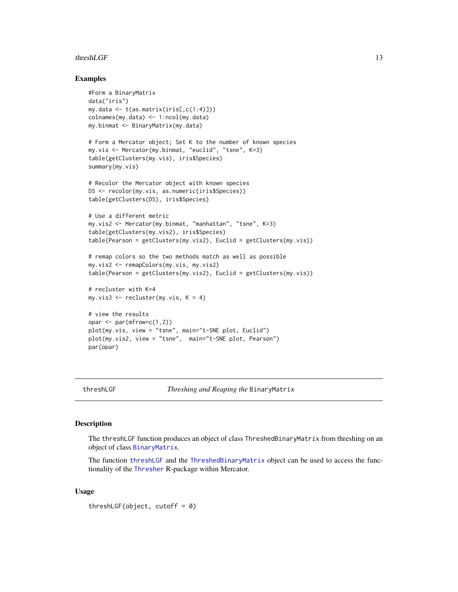#### <span id="page-12-0"></span> $thresholdGF$  13

#### Examples

```
#Form a BinaryMatrix
data("iris")
my.data <- t(as.matrix(iris[,c(1:4)]))
colnames(my.data) <- 1:ncol(my.data)
my.binmat <- BinaryMatrix(my.data)
# Form a Mercator object; Set K to the number of known species
my.vis <- Mercator(my.binmat, "euclid", "tsne", K=3)
table(getClusters(my.vis), iris$Species)
summary(my.vis)
# Recolor the Mercator object with known species
DS <- recolor(my.vis, as.numeric(iris$Species))
table(getClusters(DS), iris$Species)
# Use a different metric
my.vis2 <- Mercator(my.binmat, "manhattan", "tsne", K=3)
table(getClusters(my.vis2), iris$Species)
table(Pearson = getClusters(my.vis2), Euclid = getClusters(my.vis))
# remap colors so the two methods match as well as possible
my.vis2 <- remapColors(my.vis, my.vis2)
table(Pearson = getClusters(my.vis2), Euclid = getClusters(my.vis))
# recluster with K=4
my.vis3 \leq recluster(my.vis, K = 4)
# view the results
opar <- par(mfrow=c(1,2))
plot(my.vis, view = "tsne", main="t-SNE plot, Euclid")
plot(my.vis2, view = "tsne", main="t-SNE plot, Pearson")
par(opar)
```
threshLGF *Threshing and Reaping the* BinaryMatrix

#### <span id="page-12-2"></span>Description

The threshLGF function produces an object of class ThreshedBinaryMatrix from threshing on an object of class [BinaryMatrix](#page-2-1).

The function [threshLGF](#page-12-1) and the [ThreshedBinaryMatrix](#page-12-2) object can be used to access the functionality of the [Thresher](#page-0-0) R-package within Mercator.

# Usage

threshLGF(object, cutoff = 0)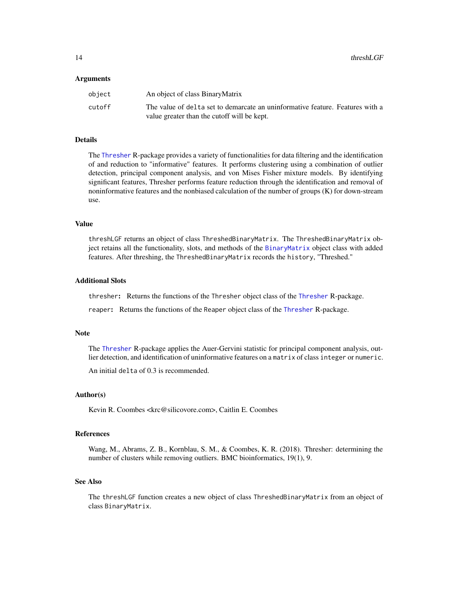#### <span id="page-13-0"></span>Arguments

| object | An object of class BinaryMatrix                                               |
|--------|-------------------------------------------------------------------------------|
| cutoff | The value of delta set to demarcate an uninformative feature. Features with a |
|        | value greater than the cutoff will be kept.                                   |

#### Details

The [Thresher](#page-0-0) R-package provides a variety of functionalities for data filtering and the identification of and reduction to "informative" features. It performs clustering using a combination of outlier detection, principal component analysis, and von Mises Fisher mixture models. By identifying significant features, Thresher performs feature reduction through the identification and removal of noninformative features and the nonbiased calculation of the number of groups (K) for down-stream use.

### Value

threshLGF returns an object of class ThreshedBinaryMatrix. The ThreshedBinaryMatrix object retains all the functionality, slots, and methods of the [BinaryMatrix](#page-2-1) object class with added features. After threshing, the ThreshedBinaryMatrix records the history, "Threshed."

#### Additional Slots

thresher: Returns the functions of the Thresher object class of the [Thresher](#page-0-0) R-package.

reaper: Returns the functions of the Reaper object class of the [Thresher](#page-0-0) R-package.

#### Note

The [Thresher](#page-0-0) R-package applies the Auer-Gervini statistic for principal component analysis, outlier detection, and identification of uninformative features on a matrix of class integer or numeric.

An initial delta of 0.3 is recommended.

#### Author(s)

Kevin R. Coombes <krc@silicovore.com>, Caitlin E. Coombes

#### References

Wang, M., Abrams, Z. B., Kornblau, S. M., & Coombes, K. R. (2018). Thresher: determining the number of clusters while removing outliers. BMC bioinformatics, 19(1), 9.

#### See Also

The threshLGF function creates a new object of class ThreshedBinaryMatrix from an object of class BinaryMatrix.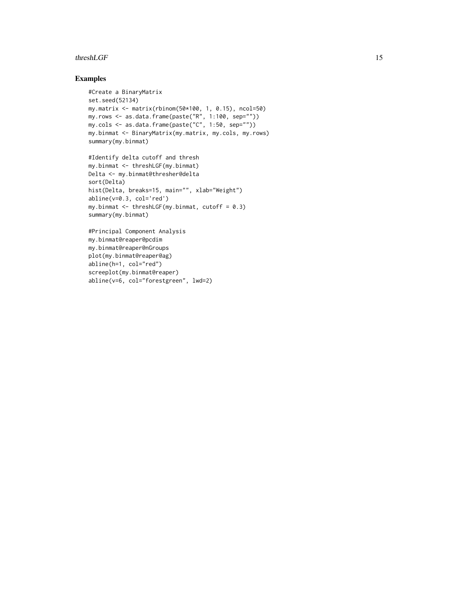# threshLGF 15

# Examples

```
#Create a BinaryMatrix
set.seed(52134)
my.matrix <- matrix(rbinom(50*100, 1, 0.15), ncol=50)
my.rows \leq as.data.frame(paste("R", 1:100, sep=""))
my.cols <- as.data.frame(paste("C", 1:50, sep=""))
my.binmat <- BinaryMatrix(my.matrix, my.cols, my.rows)
summary(my.binmat)
```

```
#Identify delta cutoff and thresh
my.binmat <- threshLGF(my.binmat)
Delta <- my.binmat@thresher@delta
sort(Delta)
hist(Delta, breaks=15, main="", xlab="Weight")
abline(v=0.3, col='red')
my.binmat \leq threshLGF(my.binmat, cutoff = 0.3)
summary(my.binmat)
```

```
#Principal Component Analysis
my.binmat@reaper@pcdim
my.binmat@reaper@nGroups
plot(my.binmat@reaper@ag)
abline(h=1, col="red")
screeplot(my.binmat@reaper)
abline(v=6, col="forestgreen", lwd=2)
```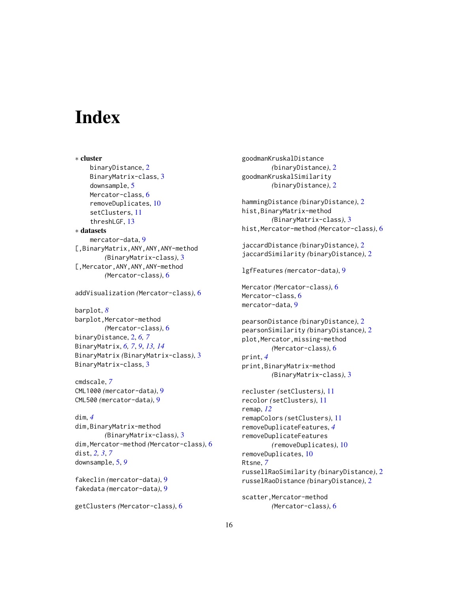# <span id="page-15-0"></span>**Index**

∗ cluster binaryDistance, [2](#page-1-0) BinaryMatrix-class, [3](#page-2-0) downsample, [5](#page-4-0) Mercator-class, [6](#page-5-0) removeDuplicates, [10](#page-9-0) setClusters, [11](#page-10-0) threshLGF, [13](#page-12-0) ∗ datasets mercator-data, [9](#page-8-0) [,BinaryMatrix,ANY,ANY,ANY-method *(*BinaryMatrix-class*)*, [3](#page-2-0) [,Mercator,ANY,ANY,ANY-method *(*Mercator-class*)*, [6](#page-5-0)

addVisualization *(*Mercator-class*)*, [6](#page-5-0)

barplot, *[8](#page-7-0)* barplot,Mercator-method *(*Mercator-class*)*, [6](#page-5-0) binaryDistance, [2,](#page-1-0) *[6,](#page-5-0) [7](#page-6-0)* BinaryMatrix, *[6,](#page-5-0) [7](#page-6-0)*, *[9](#page-8-0)*, *[13,](#page-12-0) [14](#page-13-0)* BinaryMatrix *(*BinaryMatrix-class*)*, [3](#page-2-0) BinaryMatrix-class, [3](#page-2-0)

cmdscale, *[7](#page-6-0)* CML1000 *(*mercator-data*)*, [9](#page-8-0) CML500 *(*mercator-data*)*, [9](#page-8-0)

```
dim, 4
dim,BinaryMatrix-method
        (BinaryMatrix-class), 3
dim,Mercator-method (Mercator-class), 6
dist, 2, 3, 7
downsample, 5, 9
```

```
fakeclin (mercator-data), 9
fakedata (mercator-data), 9
```

```
getClusters (Mercator-class), 6
```
goodmanKruskalDistance *(*binaryDistance*)*, [2](#page-1-0) goodmanKruskalSimilarity *(*binaryDistance*)*, [2](#page-1-0) hammingDistance *(*binaryDistance*)*, [2](#page-1-0) hist,BinaryMatrix-method *(*BinaryMatrix-class*)*, [3](#page-2-0) hist,Mercator-method *(*Mercator-class*)*, [6](#page-5-0) jaccardDistance *(*binaryDistance*)*, [2](#page-1-0) jaccardSimilarity *(*binaryDistance*)*, [2](#page-1-0) lgfFeatures *(*mercator-data*)*, [9](#page-8-0) Mercator *(*Mercator-class*)*, [6](#page-5-0) Mercator-class, [6](#page-5-0) mercator-data, [9](#page-8-0) pearsonDistance *(*binaryDistance*)*, [2](#page-1-0) pearsonSimilarity *(*binaryDistance*)*, [2](#page-1-0) plot,Mercator,missing-method *(*Mercator-class*)*, [6](#page-5-0) print, *[4](#page-3-0)* print,BinaryMatrix-method *(*BinaryMatrix-class*)*, [3](#page-2-0) recluster *(*setClusters*)*, [11](#page-10-0) recolor *(*setClusters*)*, [11](#page-10-0) remap, *[12](#page-11-0)* remapColors *(*setClusters*)*, [11](#page-10-0) removeDuplicateFeatures, *[4](#page-3-0)* removeDuplicateFeatures *(*removeDuplicates*)*, [10](#page-9-0) removeDuplicates, [10](#page-9-0) Rtsne, *[7](#page-6-0)* russellRaoSimilarity *(*binaryDistance*)*, [2](#page-1-0) russelRaoDistance *(*binaryDistance*)*, [2](#page-1-0) scatter, Mercator-method

*(*Mercator-class*)*, [6](#page-5-0)